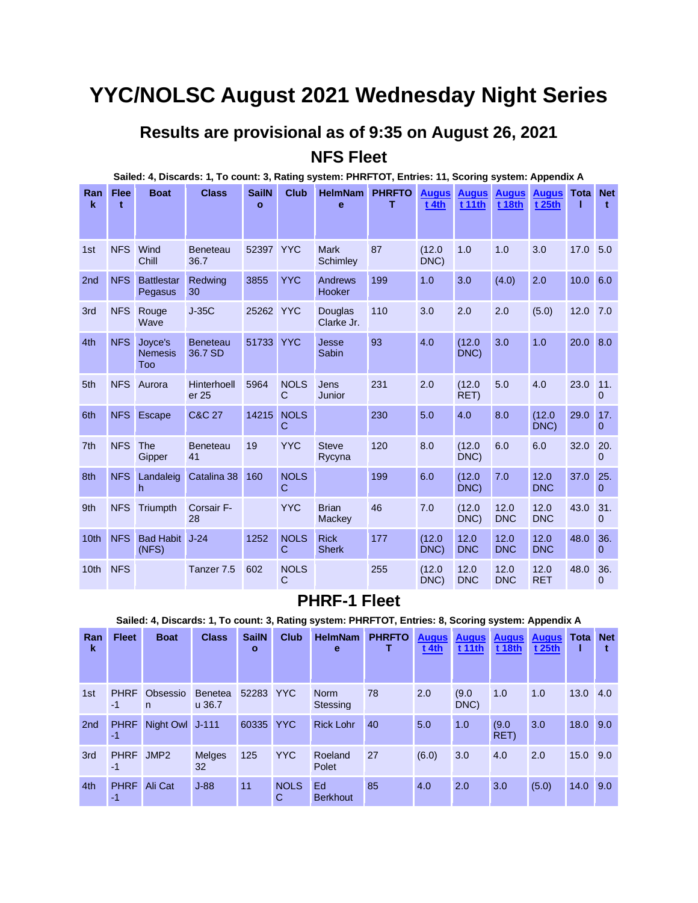## **YYC/NOLSC August 2021 Wednesday Night Series**

#### **Results are provisional as of 9:35 on August 26, 2021 NFS Fleet**

|                    |            |                                  | Sailed: 4, Discards: 1, To count: 3, Rating system: PHRFTOT, Entries: 11, Scoring system: Appendix A |                              |                  |                                |     |                         |                        |                               |                        |              |                     |
|--------------------|------------|----------------------------------|------------------------------------------------------------------------------------------------------|------------------------------|------------------|--------------------------------|-----|-------------------------|------------------------|-------------------------------|------------------------|--------------|---------------------|
| Ran<br>$\mathbf k$ | Flee<br>t  | <b>Boat</b>                      | <b>Class</b>                                                                                         | <b>SailN</b><br>$\mathbf{o}$ | <b>Club</b>      | HelmNam PHRFTO<br>e            | т   | <b>Augus</b><br>$t$ 4th | <b>Augus</b><br>t 11th | <b>Augus</b><br><b>t 18th</b> | <b>Augus</b><br>t 25th | Tota         | <b>Net</b><br>t     |
| 1st                | <b>NFS</b> | Wind<br>Chill                    | <b>Beneteau</b><br>36.7                                                                              | 52397 YYC                    |                  | <b>Mark</b><br><b>Schimley</b> | 87  | (12.0)<br>DNC)          | 1.0                    | 1.0                           | 3.0                    | 17.0         | 5.0                 |
| 2nd                | <b>NFS</b> | <b>Battlestar</b><br>Pegasus     | Redwing<br>30                                                                                        | 3855                         | <b>YYC</b>       | Andrews<br>Hooker              | 199 | 1.0                     | 3.0                    | (4.0)                         | 2.0                    | $10.0 \ 6.0$ |                     |
| 3rd                | <b>NFS</b> | Rouge<br>Wave                    | $J-35C$                                                                                              | 25262 YYC                    |                  | <b>Douglas</b><br>Clarke Jr.   | 110 | 3.0                     | 2.0                    | 2.0                           | (5.0)                  | 12.0         | 7.0                 |
| 4th                | <b>NFS</b> | Joyce's<br><b>Nemesis</b><br>Too | <b>Beneteau</b><br>36.7 SD                                                                           | 51733 YYC                    |                  | Jesse<br>Sabin                 | 93  | 4.0                     | (12.0)<br>DNC)         | 3.0                           | 1.0                    | $20.0$ 8.0   |                     |
| 5th                | <b>NFS</b> | Aurora                           | Hinterhoell<br>er 25                                                                                 | 5964                         | <b>NOLS</b><br>C | Jens<br>Junior                 | 231 | 2.0                     | (12.0)<br>RET)         | 5.0                           | 4.0                    | 23.0         | 11.<br>0            |
| 6th                | <b>NFS</b> | Escape                           | <b>C&amp;C 27</b>                                                                                    | 14215                        | <b>NOLS</b><br>C |                                | 230 | 5.0                     | 4.0                    | 8.0                           | (12.0)<br>DNC)         | 29.0         | 17.<br>$\mathbf{0}$ |
| 7 <sup>th</sup>    | <b>NFS</b> | The<br>Gipper                    | <b>Beneteau</b><br>41                                                                                | 19                           | <b>YYC</b>       | <b>Steve</b><br>Rycyna         | 120 | 8.0                     | (12.0)<br>DNC)         | 6.0                           | 6.0                    | 32.0         | 20.<br>$\Omega$     |
| 8th                | <b>NFS</b> | Landaleig<br>h                   | Catalina 38                                                                                          | 160                          | <b>NOLS</b><br>C |                                | 199 | 6.0                     | (12.0)<br>DNC)         | 7.0                           | 12.0<br><b>DNC</b>     | 37.0         | 25.<br>$\Omega$     |
| 9th                | <b>NFS</b> | Triumpth                         | Corsair F-<br>28                                                                                     |                              | <b>YYC</b>       | <b>Brian</b><br>Mackey         | 46  | 7.0                     | (12.0)<br>DNC)         | 12.0<br><b>DNC</b>            | 12.0<br><b>DNC</b>     | 43.0         | 31.<br>0            |
| 10th               | <b>NFS</b> | <b>Bad Habit</b><br>(NFS)        | $J-24$                                                                                               | 1252                         | <b>NOLS</b><br>C | <b>Rick</b><br><b>Sherk</b>    | 177 | (12.0)<br>DNC)          | 12.0<br><b>DNC</b>     | 12.0<br><b>DNC</b>            | 12.0<br><b>DNC</b>     | 48.0         | 36.<br>$\mathbf{0}$ |
| 10th               | <b>NFS</b> |                                  | Tanzer 7.5                                                                                           | 602                          | <b>NOLS</b><br>C |                                | 255 | (12.0)<br>DNC)          | 12.0<br><b>DNC</b>     | 12.0<br><b>DNC</b>            | 12.0<br><b>RET</b>     | 48.0         | 36.<br>$\mathbf 0$  |

#### **PHRF-1 Fleet**

**Sailed: 4, Discards: 1, To count: 3, Rating system: PHRFTOT, Entries: 8, Scoring system: Appendix A**

| Ran<br>k | <b>Fleet</b>        | <b>Boat</b>              | <b>Class</b>               | <b>SailN</b><br>$\circ$ | Club             | <b>HelmNam</b><br>е     | <b>PHRFTO</b> | <b>Augus</b><br>$t$ 4th | <b>Augus</b><br>t 11th | <b>Augus</b><br>t 18th | <b>Augus</b><br>t 25th | Tota     | <b>Net</b> |
|----------|---------------------|--------------------------|----------------------------|-------------------------|------------------|-------------------------|---------------|-------------------------|------------------------|------------------------|------------------------|----------|------------|
| 1st      | <b>PHRF</b><br>$-1$ | Obsessio<br>$\mathsf{n}$ | <b>Benetea</b><br>$u$ 36.7 | 52283 YYC               |                  | <b>Norm</b><br>Stessing | 78            | 2.0                     | (9.0)<br>DNC)          | 1.0                    | 1.0                    | 13.0     | 4.0        |
| 2nd      | <b>PHRF</b><br>$-1$ | Night Owl J-111          |                            | 60335                   | <b>YYC</b>       | <b>Rick Lohr</b>        | 40            | 5.0                     | 1.0                    | (9.0)<br>RET)          | 3.0                    | 18.0     | 9.0        |
| 3rd      | PHRF JMP2<br>-1     |                          | Melges<br>32               | 125                     | <b>YYC</b>       | Roeland<br>Polet        | 27            | (6.0)                   | 3.0                    | 4.0                    | 2.0                    | 15.0 9.0 |            |
| 4th      | <b>PHRF</b><br>$-1$ | Ali Cat                  | $J-88$                     | 11                      | <b>NOLS</b><br>C | Ed<br><b>Berkhout</b>   | 85            | 4.0                     | 2.0                    | 3.0                    | (5.0)                  | 14.0     | 9.0        |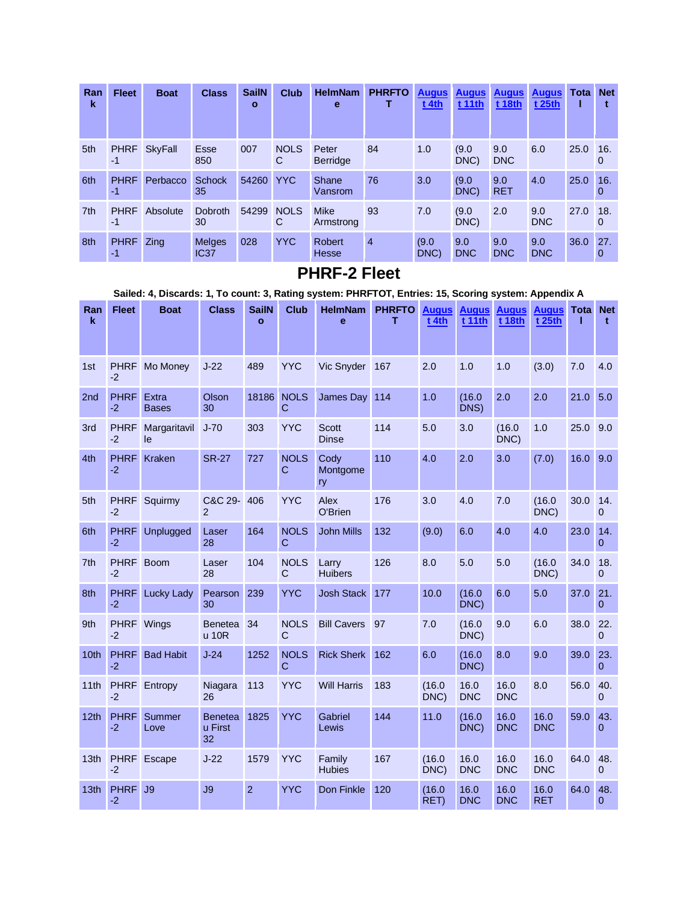| Ran<br>k        | <b>Fleet</b>        | <b>Boat</b>    | <b>Class</b>                      | <b>SailN</b><br>$\mathbf{o}$ | <b>Club</b>      | <b>HelmNam</b><br>е           | <b>PHRFTO</b>  | <b>Augus</b><br>$t$ 4th | <b>Augus</b><br>t 11th | <b>Augus</b><br>t 18th | <b>Augus</b><br>t 25th | Tota | <b>Net</b>         |
|-----------------|---------------------|----------------|-----------------------------------|------------------------------|------------------|-------------------------------|----------------|-------------------------|------------------------|------------------------|------------------------|------|--------------------|
| 5th             | <b>PHRF</b><br>$-1$ | <b>SkyFall</b> | <b>Esse</b><br>850                | 007                          | <b>NOLS</b><br>C | Peter<br><b>Berridge</b>      | 84             | 1.0                     | (9.0)<br>DNC)          | 9.0<br><b>DNC</b>      | 6.0                    | 25.0 | 16.<br>0           |
| 6th             | <b>PHRF</b><br>-1   | Perbacco       | <b>Schock</b><br>35               | 54260                        | <b>YYC</b>       | Shane<br>Vansrom              | 76             | 3.0                     | (9.0)<br>DNC)          | 9.0<br><b>RET</b>      | 4.0                    | 25.0 | 16.<br>0           |
| 7 <sup>th</sup> | <b>PHRF</b><br>$-1$ | Absolute       | Dobroth<br>30                     | 54299                        | <b>NOLS</b><br>C | Mike<br>Armstrong             | 93             | 7.0                     | (9.0)<br>DNC)          | 2.0                    | 9.0<br><b>DNC</b>      | 27.0 | 18.<br>$\mathbf 0$ |
| 8th             | <b>PHRF</b><br>-1   | Zing           | <b>Melges</b><br>IC <sub>37</sub> | 028                          | <b>YYC</b>       | <b>Robert</b><br><b>Hesse</b> | $\overline{4}$ | (9.0)<br>DNC)           | 9.0<br><b>DNC</b>      | 9.0<br><b>DNC</b>      | 9.0<br><b>DNC</b>      | 36.0 | 27.<br>0           |

#### **PHRF-2 Fleet**

**Sailed: 4, Discards: 1, To count: 3, Rating system: PHRFTOT, Entries: 15, Scoring system: Appendix A**

| Ran<br>k         | <b>Fleet</b>        | <b>Boat</b>           | <b>Class</b>                    | <b>SailN</b><br>$\mathbf{o}$ | <b>Club</b>                 | <b>HelmNam</b><br>ė          | <b>PHRFTO</b><br>т | <b>Augus</b><br>$t$ 4th | <b>Augus</b><br><b>t11th</b> | <b>Augus</b><br><b>t 18th</b> | <b>Augus</b><br>t 25th | Tota | <b>Net</b><br>$\mathbf t$ |
|------------------|---------------------|-----------------------|---------------------------------|------------------------------|-----------------------------|------------------------------|--------------------|-------------------------|------------------------------|-------------------------------|------------------------|------|---------------------------|
| 1st              | <b>PHRF</b><br>$-2$ | Mo Money              | $J-22$                          | 489                          | <b>YYC</b>                  | Vic Snyder                   | 167                | 2.0                     | 1.0                          | 1.0                           | (3.0)                  | 7.0  | 4.0                       |
| 2 <sub>nd</sub>  | <b>PHRF</b><br>$-2$ | Extra<br><b>Bases</b> | Olson<br>30                     | 18186                        | <b>NOLS</b><br>$\mathsf{C}$ | James Day                    | 114                | 1.0                     | (16.0)<br>DNS)               | 2.0                           | 2.0                    | 21.0 | 5.0                       |
| 3rd              | <b>PHRF</b><br>$-2$ | Margaritavil<br>le    | $J-70$                          | 303                          | <b>YYC</b>                  | <b>Scott</b><br><b>Dinse</b> | 114                | 5.0                     | 3.0                          | (16.0)<br>DNC)                | 1.0                    | 25.0 | 9.0                       |
| 4th              | <b>PHRF</b><br>$-2$ | Kraken                | <b>SR-27</b>                    | 727                          | <b>NOLS</b><br>$\mathbf C$  | Cody<br>Montgome<br>ry       | 110                | 4.0                     | 2.0                          | 3.0                           | (7.0)                  | 16.0 | 9.0                       |
| 5th              | <b>PHRF</b><br>$-2$ | Squirmy               | C&C 29-<br>$\mathfrak{p}$       | 406                          | <b>YYC</b>                  | Alex<br>O'Brien              | 176                | 3.0                     | 4.0                          | 7.0                           | (16.0)<br>DNC)         | 30.0 | 14.<br>$\Omega$           |
| 6th              | <b>PHRF</b><br>$-2$ | Unplugged             | Laser<br>28                     | 164                          | <b>NOLS</b><br>$\mathbf C$  | <b>John Mills</b>            | 132                | (9.0)                   | 6.0                          | 4.0                           | 4.0                    | 23.0 | 14.<br>$\overline{0}$     |
| 7th              | <b>PHRF</b><br>$-2$ | <b>Boom</b>           | Laser<br>28                     | 104                          | <b>NOLS</b><br>$\mathsf{C}$ | Larry<br><b>Huibers</b>      | 126                | 8.0                     | 5.0                          | 5.0                           | (16.0)<br>DNC)         | 34.0 | 18.<br>$\mathbf{0}$       |
| 8th              | <b>PHRF</b><br>$-2$ | <b>Lucky Lady</b>     | Pearson<br>30                   | 239                          | <b>YYC</b>                  | <b>Josh Stack</b>            | 177                | 10.0                    | (16.0)<br>DNC)               | 6.0                           | 5.0                    | 37.0 | 21.<br>$\Omega$           |
| 9th              | <b>PHRF</b><br>$-2$ | Wings                 | <b>Benetea</b><br>u 10R         | 34                           | <b>NOLS</b><br>$\mathsf{C}$ | <b>Bill Cavers</b>           | 97                 | 7.0                     | (16.0)<br>DNC)               | 9.0                           | 6.0                    | 38.0 | 22.<br>$\mathbf{0}$       |
| 10th             | <b>PHRF</b><br>$-2$ | <b>Bad Habit</b>      | $J-24$                          | 1252                         | <b>NOLS</b><br>$\mathsf{C}$ | <b>Rick Sherk</b>            | 162                | 6.0                     | (16.0)<br>DNC)               | 8.0                           | 9.0                    | 39.0 | 23.<br>$\overline{0}$     |
| 11th             | <b>PHRF</b><br>$-2$ | Entropy               | Niagara<br>26                   | 113                          | <b>YYC</b>                  | <b>Will Harris</b>           | 183                | (16.0)<br>DNC)          | 16.0<br><b>DNC</b>           | 16.0<br><b>DNC</b>            | 8.0                    | 56.0 | 40.<br>$\overline{0}$     |
| 12 <sub>th</sub> | <b>PHRF</b><br>$-2$ | Summer<br>Love        | <b>Benetea</b><br>u First<br>32 | 1825                         | <b>YYC</b>                  | Gabriel<br>Lewis             | 144                | 11.0                    | (16.0)<br>DNC)               | 16.0<br><b>DNC</b>            | 16.0<br><b>DNC</b>     | 59.0 | 43.<br>$\Omega$           |
| 13th             | <b>PHRF</b><br>$-2$ | Escape                | $J-22$                          | 1579                         | <b>YYC</b>                  | Family<br><b>Hubies</b>      | 167                | (16.0)<br>DNC)          | 16.0<br><b>DNC</b>           | 16.0<br><b>DNC</b>            | 16.0<br><b>DNC</b>     | 64.0 | 48.<br>$\Omega$           |
| 13th             | <b>PHRF</b><br>$-2$ | J9                    | J9                              | $\overline{2}$               | <b>YYC</b>                  | Don Finkle                   | 120                | (16.0)<br>RET)          | 16.0<br><b>DNC</b>           | 16.0<br><b>DNC</b>            | 16.0<br><b>RET</b>     | 64.0 | 48.<br>0                  |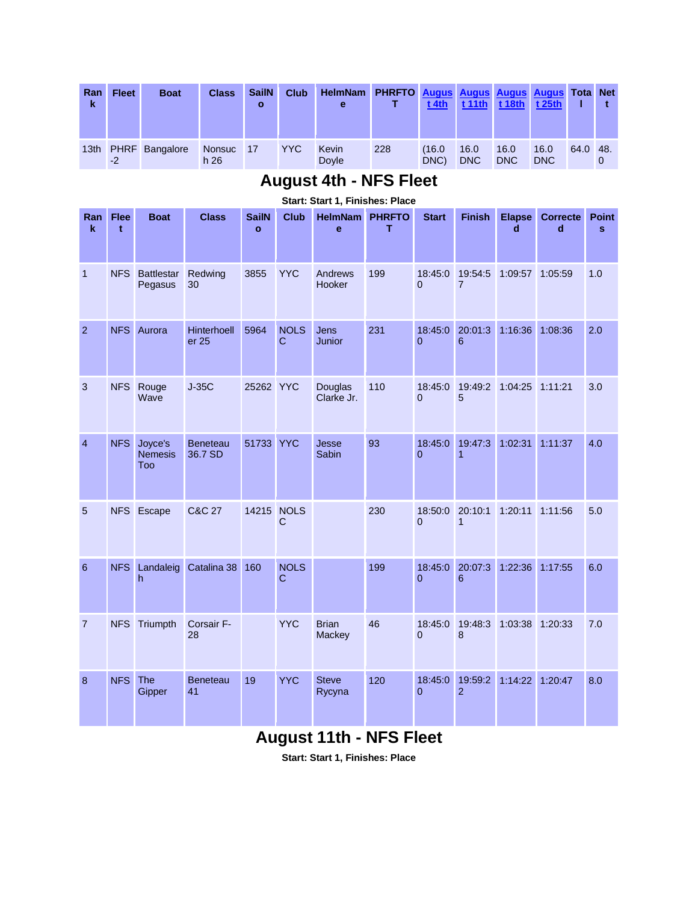| Ran<br>k         | <b>Fleet</b> | <b>Boat</b>           | <b>Class</b>              | <b>SailN</b><br>o | <b>Club</b> | <b>HelmNam</b><br>е | <b>PHRFTO Augus Augus Augus Augus Tota Net</b> | $t$ 4th        | $t$ 11th           | $t$ 18th           | t 25th             |          |  |
|------------------|--------------|-----------------------|---------------------------|-------------------|-------------|---------------------|------------------------------------------------|----------------|--------------------|--------------------|--------------------|----------|--|
| 13 <sub>th</sub> | $-2$         | <b>PHRF</b> Bangalore | Nonsuc<br>h <sub>26</sub> | $\blacksquare$ 17 | YYC.        | Kevin<br>Doyle      | 228                                            | (16.0)<br>DNC) | 16.0<br><b>DNC</b> | 16.0<br><b>DNC</b> | 16.0<br><b>DNC</b> | 64.0 48. |  |

#### **August 4th - NFS Fleet**

| Ran<br>$\mathbf k$ | <b>Flee</b><br>t | <b>Boat</b>                      | <b>Class</b>               | <b>SailN</b><br>$\mathbf{o}$ | <b>Club</b>                | <b>HelmNam</b><br>e    | <b>PHRFTO</b><br>т | <b>Start</b>              | <b>Finish</b>             | <b>Elapse</b><br>d | <b>Correcte</b><br>d | <b>Point</b><br>s |
|--------------------|------------------|----------------------------------|----------------------------|------------------------------|----------------------------|------------------------|--------------------|---------------------------|---------------------------|--------------------|----------------------|-------------------|
| $\mathbf{1}$       | <b>NFS</b>       | <b>Battlestar</b><br>Pegasus     | Redwing<br>30              | 3855                         | <b>YYC</b>                 | Andrews<br>Hooker      | 199                | 18:45:0<br>$\Omega$       | 19:54:5<br>$\overline{7}$ | 1:09:57            | 1:05:59              | 1.0               |
| $\overline{2}$     | <b>NFS</b>       | Aurora                           | Hinterhoell<br>er 25       | 5964                         | <b>NOLS</b><br>$\mathbf C$ | <b>Jens</b><br>Junior  | 231                | $\overline{0}$            | 18:45:0 20:01:3<br>6      | 1:16:36            | 1:08:36              | 2.0               |
| 3                  | <b>NFS</b>       | Rouge<br>Wave                    | $J-35C$                    | 25262 YYC                    |                            | Douglas<br>Clarke Jr.  | 110                | 18:45:0<br>$\overline{0}$ | 19:49:2<br>5              | 1:04:25            | 1:11:21              | 3.0               |
| $\overline{4}$     | <b>NFS</b>       | Joyce's<br><b>Nemesis</b><br>Too | <b>Beneteau</b><br>36.7 SD | 51733                        | <b>YYC</b>                 | Jesse<br>Sabin         | 93                 | 18:45:0<br>$\overline{0}$ | 19:47:3<br>$\mathbf{1}$   | 1:02:31            | 1:11:37              | 4.0               |
| 5                  |                  | NFS Escape                       | <b>C&amp;C 27</b>          | 14215 NOLS                   | C                          |                        | 230                | 18:50:0<br>$\overline{0}$ | 20:10:1<br>$\overline{1}$ | 1:20:11            | 1:11:56              | 5.0               |
| 6                  | <b>NFS</b>       | Landaleig<br>h                   | Catalina 38                | 160                          | <b>NOLS</b><br>$\mathbf C$ |                        | 199                | 18:45:0<br>$\overline{0}$ | 20:07:3<br>6              | 1:22:36            | 1:17:55              | 6.0               |
| $\overline{7}$     | <b>NFS</b>       | Triumpth                         | Corsair F-<br>28           |                              | <b>YYC</b>                 | <b>Brian</b><br>Mackey | 46                 | 18:45:0<br>$\overline{0}$ | 19:48:3<br>8              | 1:03:38            | 1:20:33              | 7.0               |
| 8                  | <b>NFS</b>       | The<br>Gipper                    | <b>Beneteau</b><br>41      | 19                           | <b>YYC</b>                 | <b>Steve</b><br>Rycyna | 120                | 18:45:0<br>$\overline{0}$ | 19:59:2<br>$\overline{2}$ | 1:14:22            | 1:20:47              | 8.0               |

#### **Start: Start 1, Finishes: Place**

## **August 11th - NFS Fleet**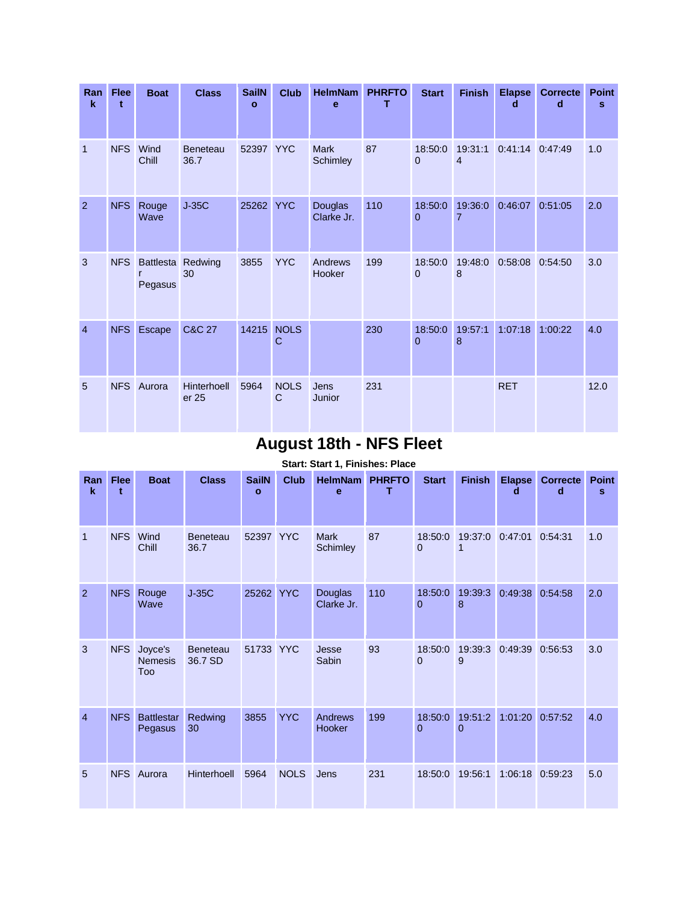| Ran<br>$\mathbf k$ | <b>Flee</b><br>t | <b>Boat</b>   | <b>Class</b>            | <b>SailN</b><br>$\mathbf{o}$ | <b>Club</b>                 | <b>HelmNam</b><br>e     | <b>PHRFTO</b><br>т | <b>Start</b>        | <b>Finish</b>             | <b>Elapse</b><br>d | <b>Correcte</b><br>d | <b>Point</b><br>s |
|--------------------|------------------|---------------|-------------------------|------------------------------|-----------------------------|-------------------------|--------------------|---------------------|---------------------------|--------------------|----------------------|-------------------|
| $\mathbf{1}$       | <b>NFS</b>       | Wind<br>Chill | <b>Beneteau</b><br>36.7 | 52397 YYC                    |                             | <b>Mark</b><br>Schimley | 87                 | 18:50:0<br>0        | 19:31:1<br>$\overline{4}$ | 0:41:14            | 0:47:49              | 1.0               |
| $\overline{2}$     | <b>NFS</b>       | Rouge<br>Wave | $J-35C$                 | 25262                        | <b>YYC</b>                  | Douglas<br>Clarke Jr.   | 110                | 18:50:0<br>$\Omega$ | 19:36:0<br>7              | 0:46:07            | 0:51:05              | 2.0               |
| 3                  | <b>NFS</b>       | Pegasus       | Battlesta Redwing<br>30 | 3855                         | <b>YYC</b>                  | Andrews<br>Hooker       | 199                | 18:50:0<br>$\Omega$ | 19:48:0<br>8              | 0:58:08            | 0:54:50              | 3.0               |
| $\overline{4}$     | <b>NFS</b>       | Escape        | <b>C&amp;C 27</b>       | 14215                        | <b>NOLS</b><br>C            |                         | 230                | 18:50:0<br>$\Omega$ | 19:57:1<br>8              | 1:07:18            | 1:00:22              | 4.0               |
| 5                  | <b>NFS</b>       | Aurora        | Hinterhoell<br>er 25    | 5964                         | <b>NOLS</b><br>$\mathsf{C}$ | Jens<br>Junior          | 231                |                     |                           | <b>RET</b>         |                      | 12.0              |

## **August 18th - NFS Fleet**

| Ran<br>$\mathbf k$ | <b>Flee</b><br>$\ddot{\phantom{1}}$ | <b>Boat</b>                      | <b>Class</b>               | <b>SailN</b><br>$\mathbf{o}$ | <b>Club</b> | <b>HelmNam</b><br>e     | <b>PHRFTO</b><br>т | <b>Start</b>              | <b>Finish</b>          | <b>Elapse</b><br>d | <b>Correcte</b><br>d | <b>Point</b><br>s |
|--------------------|-------------------------------------|----------------------------------|----------------------------|------------------------------|-------------|-------------------------|--------------------|---------------------------|------------------------|--------------------|----------------------|-------------------|
| $\mathbf{1}$       | <b>NFS</b>                          | Wind<br>Chill                    | <b>Beneteau</b><br>36.7    | 52397 YYC                    |             | <b>Mark</b><br>Schimley | 87                 | 18:50:0<br>$\Omega$       | 19:37:0                | 0:47:01            | 0:54:31              | 1.0               |
| $\overline{2}$     | <b>NFS</b>                          | Rouge<br>Wave                    | $J-35C$                    | 25262 YYC                    |             | Douglas<br>Clarke Jr.   | 110                | 18:50:0<br>$\overline{0}$ | 19:39:3<br>8           | 0:49:38            | 0:54:58              | 2.0               |
| 3                  | <b>NFS</b>                          | Joyce's<br><b>Nemesis</b><br>Too | <b>Beneteau</b><br>36.7 SD | 51733 YYC                    |             | Jesse<br>Sabin          | 93                 | 18:50:0<br>$\Omega$       | 19:39:3<br>9           | 0:49:39            | 0:56:53              | 3.0               |
| $\overline{4}$     | <b>NFS</b>                          | <b>Battlestar</b><br>Pegasus     | Redwing<br>30              | 3855                         | <b>YYC</b>  | Andrews<br>Hooker       | 199                | 18:50:0<br>$\overline{0}$ | 19:51:2<br>$\mathbf 0$ | 1:01:20            | 0:57:52              | 4.0               |
| 5                  | <b>NFS</b>                          | Aurora                           | <b>Hinterhoell</b>         | 5964                         | <b>NOLS</b> | Jens                    | 231                | 18:50:0                   | 19:56:1                | 1:06:18            | 0:59:23              | 5.0               |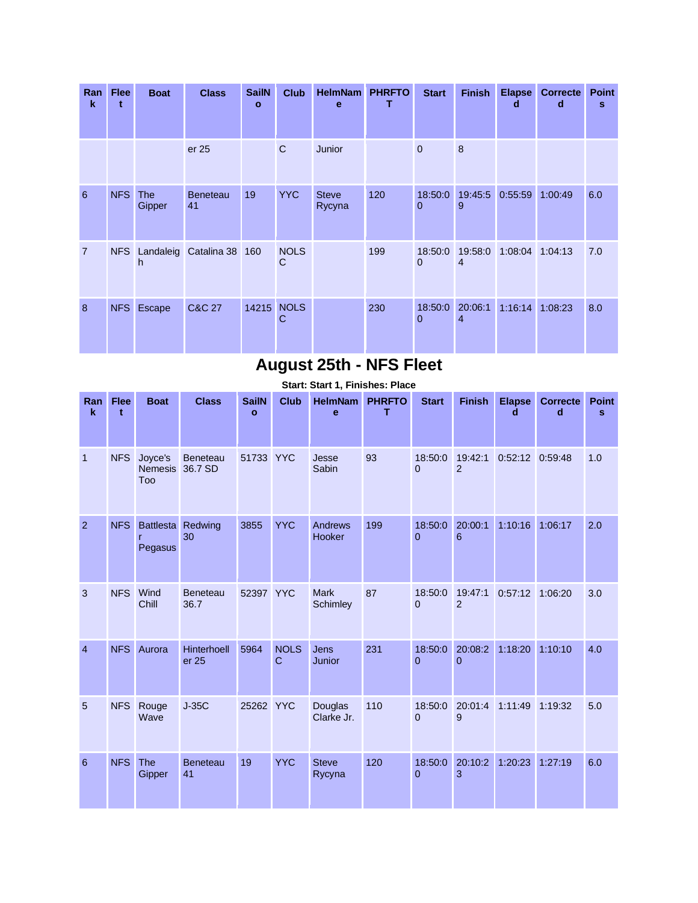| Ran<br>$\mathbf k$ | <b>Flee</b><br>t | <b>Boat</b>          | <b>Class</b>          | <b>SailN</b><br>$\mathbf{o}$ | <b>Club</b>      | <b>HelmNam</b><br>e    | <b>PHRFTO</b> | <b>Start</b>            | <b>Finish</b> | <b>Elapse</b><br>d | <b>Correcte</b><br>d | <b>Point</b><br>s |
|--------------------|------------------|----------------------|-----------------------|------------------------------|------------------|------------------------|---------------|-------------------------|---------------|--------------------|----------------------|-------------------|
|                    |                  |                      | er 25                 |                              | $\mathsf{C}$     | Junior                 |               | $\overline{0}$          | 8             |                    |                      |                   |
| 6                  | <b>NFS</b>       | <b>The</b><br>Gipper | <b>Beneteau</b><br>41 | 19                           | <b>YYC</b>       | <b>Steve</b><br>Rycyna | 120           | 18:50:0<br>$\mathbf 0$  | 19:45:5<br>9  | 0:55:59 1:00:49    |                      | 6.0               |
| $\overline{7}$     | <b>NFS</b>       | h                    | Landaleig Catalina 38 | 160                          | <b>NOLS</b><br>C |                        | 199           | 18:50:0<br>$\Omega$     | 19:58:0<br>4  | 1:08:04 1:04:13    |                      | 7.0               |
| 8                  | <b>NFS</b>       | Escape               | C&C 27                | 14215                        | <b>NOLS</b><br>C |                        | 230           | 18:50:0<br>$\mathbf{0}$ | 20:06:1<br>4  | 1:16:14            | 1:08:23              | 8.0               |

## **August 25th - NFS Fleet**

| Ran<br>$\mathbf k$ | <b>Flee</b><br>t | <b>Boat</b>                             | <b>Class</b>                | <b>SailN</b><br>$\mathbf{o}$ | <b>Club</b>                | <b>HelmNam</b><br>e     | <b>PHRFTO</b><br>т | <b>Start</b>        | <b>Finish</b>       | <b>Elapse</b><br>$\mathbf d$ | <b>Correcte</b><br>d | <b>Point</b><br>s |
|--------------------|------------------|-----------------------------------------|-----------------------------|------------------------------|----------------------------|-------------------------|--------------------|---------------------|---------------------|------------------------------|----------------------|-------------------|
| $\overline{1}$     | <b>NFS</b>       | Joyce's<br><b>Nemesis</b><br><b>Too</b> | <b>Beneteau</b><br>36.7 SD  | 51733                        | <b>YYC</b>                 | Jesse<br>Sabin          | 93                 | 18:50:0<br>$\Omega$ | 19:42:1<br>2        | 0:52:12                      | 0:59:48              | 1.0               |
| $\overline{2}$     | <b>NFS</b>       | <b>Battlesta</b><br>Pegasus             | Redwing<br>30               | 3855                         | <b>YYC</b>                 | Andrews<br>Hooker       | 199                | 18:50:0<br>$\Omega$ | 20:00:1<br>6        | 1:10:16                      | 1:06:17              | 2.0               |
| 3                  | <b>NFS</b>       | Wind<br>Chill                           | <b>Beneteau</b><br>36.7     | 52397 YYC                    |                            | <b>Mark</b><br>Schimley | 87                 | 18:50:0<br>$\Omega$ | 19:47:1<br>2        | 0:57:12                      | 1:06:20              | 3.0               |
| $\overline{4}$     | <b>NFS</b>       | Aurora                                  | <b>Hinterhoell</b><br>er 25 | 5964                         | <b>NOLS</b><br>$\mathbf C$ | Jens<br>Junior          | 231                | 18:50:0<br>$\Omega$ | 20:08:2<br>$\Omega$ | 1:18:20                      | 1:10:10              | 4.0               |
| 5                  | <b>NFS</b>       | Rouge<br>Wave                           | $J-35C$                     | 25262                        | <b>YYC</b>                 | Douglas<br>Clarke Jr.   | 110                | 18:50:0<br>$\Omega$ | 20:01:4<br>9        | 1:11:49                      | 1:19:32              | 5.0               |
| 6                  | <b>NFS</b>       | <b>The</b><br>Gipper                    | <b>Beneteau</b><br>41       | 19                           | <b>YYC</b>                 | <b>Steve</b><br>Rycyna  | 120                | 18:50:0<br>$\Omega$ | 20:10:2<br>3        | 1:20:23                      | 1:27:19              | 6.0               |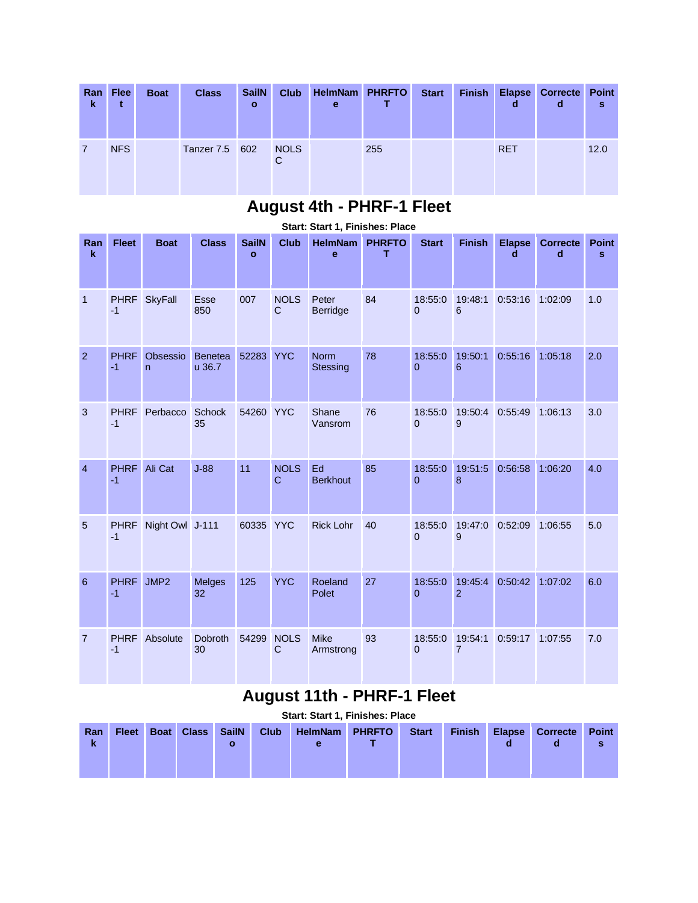| Ran<br>-k | <b>Flee</b> | <b>Boat</b> | <b>Class</b>   | <b>SailN</b><br>$\mathbf{o}$ | <b>Club</b>      | HelmNam PHRFTO<br>е |     | <b>Start</b> | <b>Finish</b> | d          | <b>Elapse Correcte Point</b><br>d | s    |
|-----------|-------------|-------------|----------------|------------------------------|------------------|---------------------|-----|--------------|---------------|------------|-----------------------------------|------|
|           | <b>NFS</b>  |             | Tanzer 7.5 602 |                              | <b>NOLS</b><br>C |                     | 255 |              |               | <b>RET</b> |                                   | 12.0 |

#### **August 4th - PHRF-1 Fleet**

|                    |                     |                          |                      |                              |                               | <b>UWILI, III</b>              |                    |                     |                           |                    |                      |                              |
|--------------------|---------------------|--------------------------|----------------------|------------------------------|-------------------------------|--------------------------------|--------------------|---------------------|---------------------------|--------------------|----------------------|------------------------------|
| Ran<br>$\mathbf k$ | <b>Fleet</b>        | <b>Boat</b>              | <b>Class</b>         | <b>SailN</b><br>$\mathbf{o}$ | <b>Club</b>                   | <b>HelmNam</b><br>e            | <b>PHRFTO</b><br>т | <b>Start</b>        | <b>Finish</b>             | <b>Elapse</b><br>d | <b>Correcte</b><br>d | <b>Point</b><br>$\mathbf{s}$ |
| $\mathbf{1}$       | <b>PHRF</b><br>$-1$ | <b>SkyFall</b>           | <b>Esse</b><br>850   | 007                          | <b>NOLS</b><br>$\mathbf C$    | Peter<br><b>Berridge</b>       | 84                 | 18:55:0<br>$\Omega$ | 19:48:1<br>6              | 0:53:16            | 1:02:09              | 1.0                          |
| $\overline{2}$     | <b>PHRF</b><br>$-1$ | Obsessio<br>$\mathsf{n}$ | Benetea<br>u 36.7    | 52283                        | <b>YYC</b>                    | <b>Norm</b><br><b>Stessing</b> | 78                 | 18:55:0<br>$\Omega$ | 19:50:1<br>6              | 0:55:16            | 1:05:18              | 2.0                          |
| 3                  | <b>PHRF</b><br>$-1$ | Perbacco                 | <b>Schock</b><br>35  | 54260                        | <b>YYC</b>                    | Shane<br>Vansrom               | 76                 | 18:55:0<br>$\Omega$ | 19:50:4<br>9              | 0:55:49            | 1:06:13              | 3.0                          |
| $\overline{4}$     | <b>PHRF</b><br>$-1$ | Ali Cat                  | $J-88$               | 11                           | <b>NOLS</b><br>$\overline{C}$ | Ed<br><b>Berkhout</b>          | 85                 | 18:55:0<br>$\Omega$ | 19:51:5<br>8              | 0:56:58            | 1:06:20              | 4.0                          |
| 5                  | <b>PHRF</b><br>$-1$ | Night Owl J-111          |                      | 60335 YYC                    |                               | <b>Rick Lohr</b>               | 40                 | 18:55:0<br>$\Omega$ | 19:47:0<br>9              | 0:52:09            | 1:06:55              | 5.0                          |
| 6                  | <b>PHRF</b><br>$-1$ | JMP <sub>2</sub>         | <b>Melges</b><br>32  | 125                          | <b>YYC</b>                    | Roeland<br>Polet               | 27                 | 18:55:0<br>$\Omega$ | 19:45:4<br>$\overline{2}$ | 0:50:42            | 1:07:02              | 6.0                          |
| 7                  | <b>PHRF</b><br>$-1$ | Absolute                 | <b>Dobroth</b><br>30 | 54299                        | <b>NOLS</b><br>$\mathbf C$    | <b>Mike</b><br>Armstrong       | 93                 | 18:55:0<br>$\Omega$ | 19:54:1<br>$\overline{7}$ | 0:59:17            | 1:07:55              | 7.0                          |

#### **Start: Start 1, Finishes: Place**

# **August 11th - PHRF-1 Fleet**

|          |              |             |              |              |             | <b>Start: Start 1, Finishes: Place</b> |               |              |               |               |                      |                   |
|----------|--------------|-------------|--------------|--------------|-------------|----------------------------------------|---------------|--------------|---------------|---------------|----------------------|-------------------|
| Ran<br>k | <b>Fleet</b> | <b>Boat</b> | <b>Class</b> | <b>SailN</b> | <b>Club</b> | <b>HelmNam</b>                         | <b>PHRFTO</b> | <b>Start</b> | <b>Finish</b> | <b>Elapse</b> | <b>Correcte</b><br>α | <b>Point</b><br>s |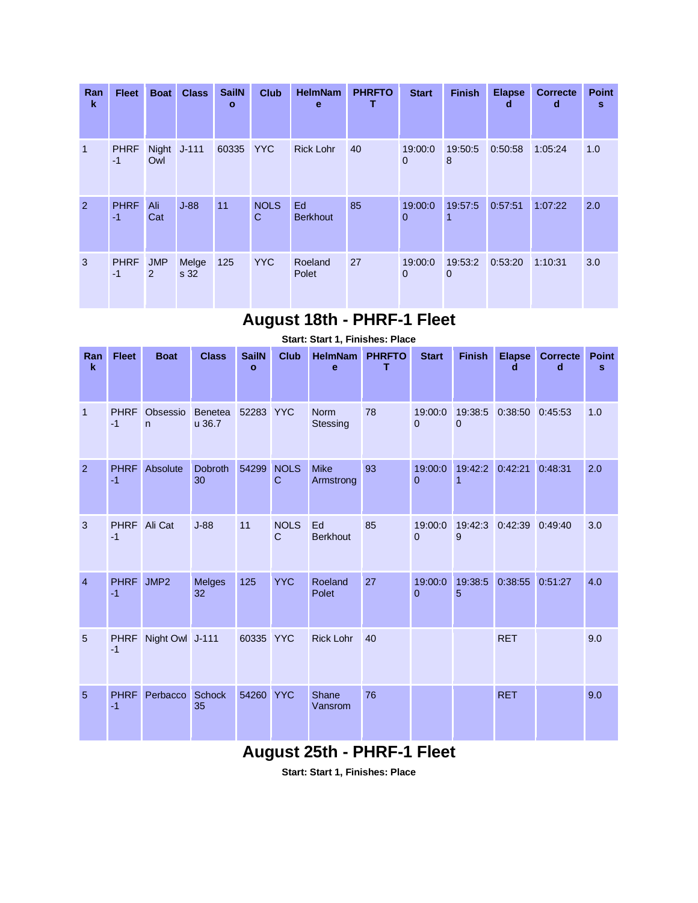| Ran<br>k       | <b>Fleet</b>        | <b>Boat</b>                  | <b>Class</b>  | <b>SailN</b><br>$\mathbf{o}$ | <b>Club</b>      | <b>HelmNam</b><br>e   | <b>PHRFTO</b> | <b>Start</b>            | <b>Finish</b> | <b>Elapse</b><br>d | <b>Correcte</b><br>d | <b>Point</b><br>s |
|----------------|---------------------|------------------------------|---------------|------------------------------|------------------|-----------------------|---------------|-------------------------|---------------|--------------------|----------------------|-------------------|
| $\overline{1}$ | <b>PHRF</b><br>$-1$ | Owl                          | Night J-111   | 60335 YYC                    |                  | <b>Rick Lohr</b>      | 40            | 19:00:0<br>$\mathbf{0}$ | 19:50:5<br>8  | 0:50:58            | 1:05:24              | 1.0               |
| 2              | <b>PHRF</b><br>$-1$ | Ali<br>Cat                   | $J-88$        | 11                           | <b>NOLS</b><br>C | Ed<br><b>Berkhout</b> | 85            | 19:00:0<br>$\mathbf{0}$ | 19:57:5       | 0:57:51            | 1:07:22              | 2.0               |
| 3              | <b>PHRF</b><br>$-1$ | <b>JMP</b><br>$\overline{2}$ | Melge<br>s 32 | 125                          | <b>YYC</b>       | Roeland<br>Polet      | 27            | 19:00:0<br>$\mathbf{0}$ | 19:53:2<br>0  | 0:53:20            | 1:10:31              | 3.0               |

#### **August 18th - PHRF-1 Fleet**

|                    |                     |                          |                          |                              |                             | Start: Start 1, Finishes: Place |                    |                         |                        |                    |                      |                   |
|--------------------|---------------------|--------------------------|--------------------------|------------------------------|-----------------------------|---------------------------------|--------------------|-------------------------|------------------------|--------------------|----------------------|-------------------|
| Ran<br>$\mathbf k$ | <b>Fleet</b>        | <b>Boat</b>              | <b>Class</b>             | <b>SailN</b><br>$\mathbf{o}$ | <b>Club</b>                 | <b>HelmNam</b><br>$\mathbf e$   | <b>PHRFTO</b><br>т | <b>Start</b>            | <b>Finish</b>          | <b>Elapse</b><br>d | <b>Correcte</b><br>d | <b>Point</b><br>s |
| $\mathbf{1}$       | <b>PHRF</b><br>$-1$ | Obsessio<br>$\mathsf{n}$ | <b>Benetea</b><br>u 36.7 | 52283 YYC                    |                             | <b>Norm</b><br><b>Stessing</b>  | 78                 | 19:00:0<br>$\Omega$     | 19:38:5<br>$\mathbf 0$ | 0:38:50            | 0:45:53              | 1.0               |
| 2                  | <b>PHRF</b><br>$-1$ | Absolute                 | <b>Dobroth</b><br>30     | 54299                        | <b>NOLS</b><br>$\mathbf C$  | <b>Mike</b><br>Armstrong        | 93                 | 19:00:0<br>$\Omega$     | 19:42:2                | 0:42:21            | 0:48:31              | 2.0               |
| 3                  | <b>PHRF</b><br>$-1$ | Ali Cat                  | $J-88$                   | 11                           | <b>NOLS</b><br>$\mathsf{C}$ | Ed<br><b>Berkhout</b>           | 85                 | 19:00:0<br>$\Omega$     | 19:42:3<br>9           | 0:42:39            | 0:49:40              | 3.0               |
| $\overline{4}$     | <b>PHRF</b><br>$-1$ | JMP2                     | <b>Melges</b><br>32      | 125                          | <b>YYC</b>                  | Roeland<br>Polet                | 27                 | 19:00:0<br>$\mathbf{0}$ | 19:38:5<br>5           | 0:38:55            | 0:51:27              | 4.0               |
| 5                  | <b>PHRF</b><br>$-1$ | Night Owl J-111          |                          | 60335                        | <b>YYC</b>                  | <b>Rick Lohr</b>                | 40                 |                         |                        | <b>RET</b>         |                      | 9.0               |
| $5\overline{5}$    | <b>PHRF</b><br>$-1$ | Perbacco                 | <b>Schock</b><br>35      | 54260                        | <b>YYC</b>                  | Shane<br>Vansrom                | 76                 |                         |                        | <b>RET</b>         |                      | 9.0               |

#### **August 25th - PHRF-1 Fleet**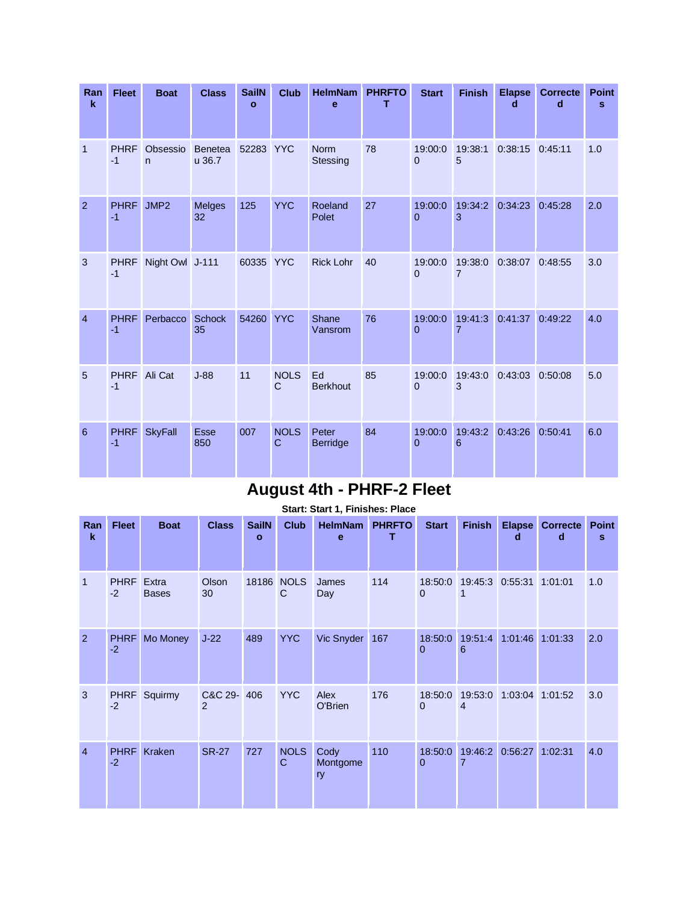| Ran<br>$\mathbf k$ | <b>Fleet</b>        | <b>Boat</b>              | <b>Class</b>             | <b>SailN</b><br>$\mathbf{o}$ | <b>Club</b>                | <b>HelmNam</b><br>e      | <b>PHRFTO</b><br>т | <b>Start</b>        | <b>Finish</b> | <b>Elapse</b><br>d  | <b>Correcte</b><br>d | <b>Point</b><br>s |
|--------------------|---------------------|--------------------------|--------------------------|------------------------------|----------------------------|--------------------------|--------------------|---------------------|---------------|---------------------|----------------------|-------------------|
| $\mathbf{1}$       | <b>PHRF</b><br>$-1$ | Obsessio<br>$\mathsf{n}$ | <b>Benetea</b><br>u 36.7 | 52283 YYC                    |                            | <b>Norm</b><br>Stessing  | 78                 | 19:00:0<br>$\Omega$ | 19:38:1<br>5  | $0:38:15$ $0:45:11$ |                      | 1.0               |
| $\overline{2}$     | <b>PHRF</b><br>$-1$ | JMP2                     | <b>Melges</b><br>32      | 125                          | <b>YYC</b>                 | Roeland<br>Polet         | 27                 | 19:00:0<br>$\Omega$ | 19:34:2<br>3  | 0:34:23             | 0:45:28              | 2.0               |
| 3                  | <b>PHRF</b><br>$-1$ | Night Owl J-111          |                          | 60335 YYC                    |                            | <b>Rick Lohr</b>         | 40                 | 19:00:0<br>$\Omega$ | 19:38:0<br>7  | 0:38:07             | 0:48:55              | 3.0               |
| $\overline{4}$     | <b>PHRF</b><br>$-1$ | Perbacco                 | <b>Schock</b><br>35      | 54260                        | <b>YYC</b>                 | Shane<br>Vansrom         | 76                 | 19:00:0<br>$\Omega$ | 19:41:3<br>7  | 0:41:37             | 0:49:22              | 4.0               |
| 5                  | <b>PHRF</b><br>$-1$ | Ali Cat                  | $J-88$                   | 11                           | <b>NOLS</b><br>$\mathbf C$ | Ed<br><b>Berkhout</b>    | 85                 | 19:00:0<br>$\Omega$ | 19:43:0<br>3  | 0:43:03             | 0:50:08              | 5.0               |
| 6                  | <b>PHRF</b><br>$-1$ | <b>SkyFall</b>           | <b>Esse</b><br>850       | 007                          | <b>NOLS</b><br>$\mathbf C$ | Peter<br><b>Berridge</b> | 84                 | 19:00:0<br>$\Omega$ | 19:43:2<br>6  | 0:43:26             | 0:50:41              | 6.0               |

# **August 4th - PHRF-2 Fleet**

| Ran            | <b>Fleet</b>        | <b>Boat</b>           | <b>Class</b> | <b>SailN</b> | <b>Club</b>      | <b>HelmNam</b>         | <b>PHRFTO</b> | <b>Start</b>            | <b>Finish</b> | <b>Elapse</b>   | <b>Correcte</b> | <b>Point</b> |
|----------------|---------------------|-----------------------|--------------|--------------|------------------|------------------------|---------------|-------------------------|---------------|-----------------|-----------------|--------------|
| $\mathbf k$    |                     |                       |              | $\mathbf{o}$ |                  | e                      | т             |                         |               | d               | d               | s            |
| $\mathbf{1}$   | <b>PHRF</b><br>$-2$ | Extra<br><b>Bases</b> | Olson<br>30  | 18186        | <b>NOLS</b><br>C | James<br>Day           | 114           | 18:50:0<br>$\mathbf 0$  | 19:45:3<br>1  | 0:55:31         | 1:01:01         | 1.0          |
| 2              | <b>PHRF</b><br>$-2$ | Mo Money              | $J-22$       | 489          | <b>YYC</b>       | Vic Snyder             | 167           | 18:50:0<br>$\mathbf{0}$ | 19:51:4<br>6  | 1:01:46 1:01:33 |                 | 2.0          |
| 3              | <b>PHRF</b><br>$-2$ | Squirmy               | C&C 29-<br>2 | 406          | <b>YYC</b>       | Alex<br>O'Brien        | 176           | 18:50:0<br>$\mathbf 0$  | 19:53:0<br>4  | 1:03:04 1:01:52 |                 | 3.0          |
| $\overline{4}$ | <b>PHRF</b><br>$-2$ | Kraken                | <b>SR-27</b> | 727          | <b>NOLS</b><br>C | Cody<br>Montgome<br>ry | 110           | 18:50:0<br>$\mathbf{0}$ | 19:46:2<br>7  | 0:56:27         | 1:02:31         | 4.0          |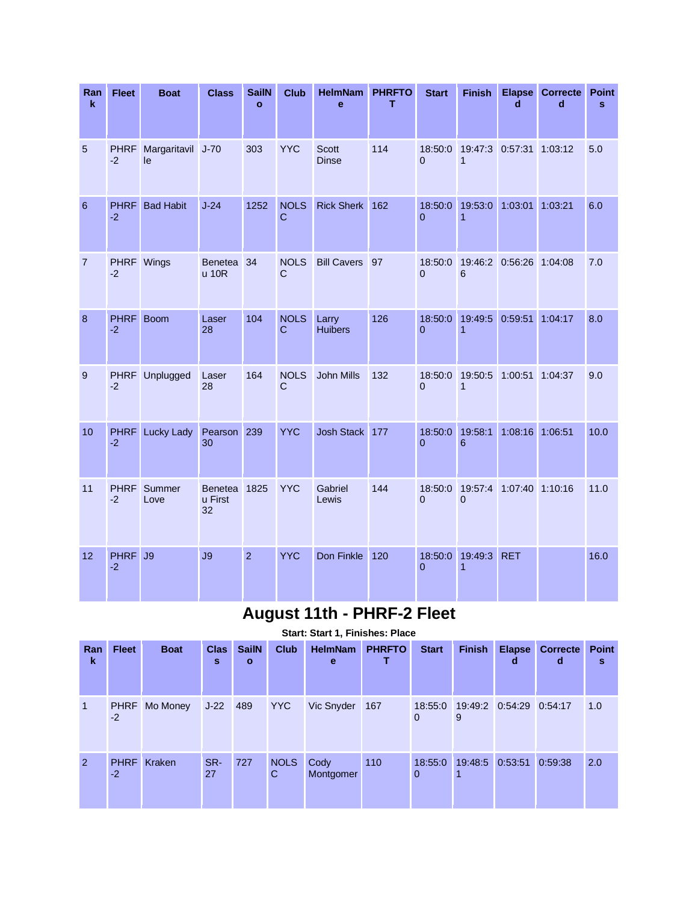| Ran<br>k       | <b>Fleet</b>        | <b>Boat</b>             | <b>Class</b>                    | <b>SailN</b><br>$\mathbf{o}$ | <b>Club</b>                 | <b>HelmNam</b><br>e          | <b>PHRFTO</b><br>т | <b>Start</b>              | <b>Finish</b>             | <b>Elapse</b><br>d | <b>Correcte</b><br>d | <b>Point</b><br>s |
|----------------|---------------------|-------------------------|---------------------------------|------------------------------|-----------------------------|------------------------------|--------------------|---------------------------|---------------------------|--------------------|----------------------|-------------------|
| 5              | <b>PHRF</b><br>$-2$ | Margaritavil J-70<br>le |                                 | 303                          | <b>YYC</b>                  | <b>Scott</b><br><b>Dinse</b> | 114                | 18:50:0<br>$\Omega$       | 19:47:3<br>$\mathbf{1}$   | 0:57:31 1:03:12    |                      | 5.0               |
| 6              | <b>PHRF</b><br>$-2$ | <b>Bad Habit</b>        | $J-24$                          | 1252                         | <b>NOLS</b><br>$\mathsf{C}$ | <b>Rick Sherk</b>            | 162                | 18:50:0<br>$\Omega$       | 19:53:0<br>$\overline{1}$ | 1:03:01            | 1:03:21              | 6.0               |
| $\overline{7}$ | <b>PHRF</b><br>$-2$ | Wings                   | Benetea<br>u 10R                | 34                           | <b>NOLS</b><br>$\mathsf{C}$ | <b>Bill Cavers</b>           | 97                 | 18:50:0<br>$\overline{0}$ | 19:46:2<br>6              | 0:56:26            | 1:04:08              | 7.0               |
| 8              | <b>PHRF</b><br>$-2$ | <b>Boom</b>             | Laser<br>28                     | 104                          | <b>NOLS</b><br>$\mathbf C$  | Larry<br><b>Huibers</b>      | 126                | 18:50:0<br>$\overline{0}$ | 19:49:5<br>$\mathbf{1}$   | 0:59:51            | 1:04:17              | 8.0               |
| 9              | <b>PHRF</b><br>$-2$ | Unplugged               | Laser<br>28                     | 164                          | <b>NOLS</b><br>$\mathbf C$  | <b>John Mills</b>            | 132                | 18:50:0<br>$\Omega$       | 19:50:5<br>$\mathbf{1}$   | 1:00:51            | 1:04:37              | 9.0               |
| 10             | <b>PHRF</b><br>$-2$ | <b>Lucky Lady</b>       | Pearson<br>30                   | 239                          | <b>YYC</b>                  | Josh Stack                   | 177                | 18:50:0<br>$\Omega$       | 19:58:1<br>6              | 1:08:16            | 1:06:51              | 10.0              |
| 11             | <b>PHRF</b><br>$-2$ | Summer<br>Love          | <b>Benetea</b><br>u First<br>32 | 1825                         | <b>YYC</b>                  | Gabriel<br>Lewis             | 144                | 18:50:0<br>$\Omega$       | 19:57:4<br>$\overline{0}$ | 1:07:40 1:10:16    |                      | 11.0              |
| 12             | <b>PHRF</b><br>$-2$ | J9                      | J9                              | $\overline{2}$               | <b>YYC</b>                  | Don Finkle                   | 120                | 18:50:0<br>$\Omega$       | 19:49:3<br>$\overline{1}$ | <b>RET</b>         |                      | 16.0              |

# **August 11th - PHRF-2 Fleet**

| Ran<br>$\mathbf k$ | <b>Fleet</b>        | <b>Boat</b>   | <b>Clas</b><br>s | <b>SailN</b><br>$\mathbf{o}$ | <b>Club</b>      | <b>HelmNam</b><br>e | <b>PHRFTO</b> | <b>Start</b>        | <b>Finish</b> | <b>Elapse</b><br>d              | <b>Correcte</b><br>d | <b>Point</b><br>s |
|--------------------|---------------------|---------------|------------------|------------------------------|------------------|---------------------|---------------|---------------------|---------------|---------------------------------|----------------------|-------------------|
| 1                  | $-2$                | PHRF Mo Money | $J-22$ 489       |                              | <b>YYC</b>       | Vic Snyder          | 167           | $\Omega$            | 9             | 18:55:0 19:49:2 0:54:29 0:54:17 |                      | 1.0               |
| <sup>2</sup>       | <b>PHRF</b><br>$-2$ | Kraken        | SR-<br>27        | 727                          | <b>NOLS</b><br>C | Cody<br>Montgomer   | 110           | 18:55:0<br>$\Omega$ | 19:48:5<br>1  | 0:53:51                         | 0:59:38              | 2.0               |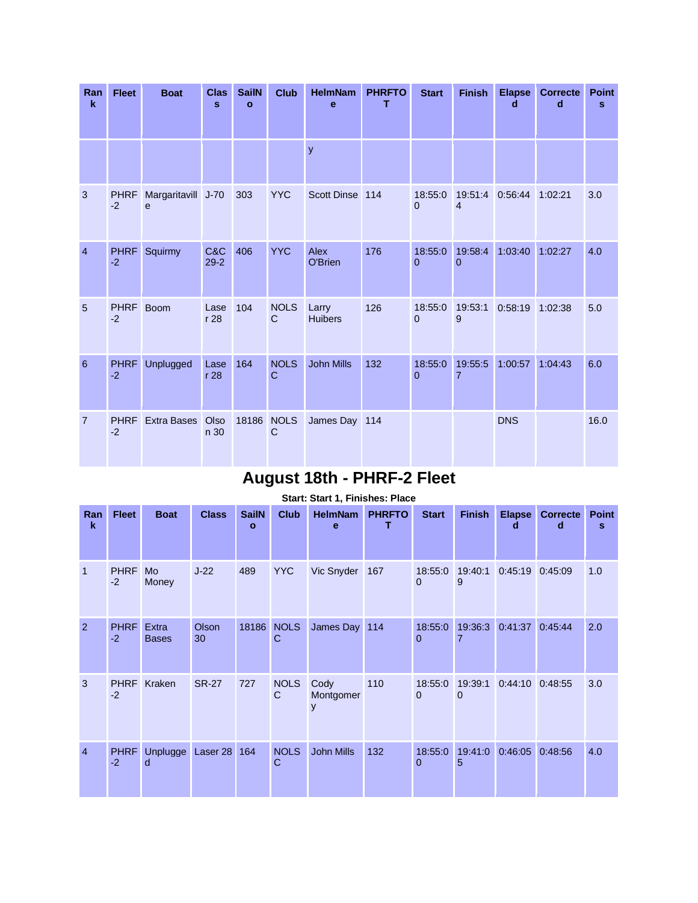| Ran<br>$\mathbf k$ | <b>Fleet</b>        | <b>Boat</b>                       | <b>Clas</b><br>$\mathbf{s}$ | <b>SailN</b><br>$\mathbf{o}$ | <b>Club</b>                 | <b>HelmNam</b><br>e     | <b>PHRFTO</b><br>т | <b>Start</b>        | <b>Finish</b>             | <b>Elapse</b><br>d | <b>Correcte</b><br>d | <b>Point</b><br>s |
|--------------------|---------------------|-----------------------------------|-----------------------------|------------------------------|-----------------------------|-------------------------|--------------------|---------------------|---------------------------|--------------------|----------------------|-------------------|
|                    |                     |                                   |                             |                              |                             | y                       |                    |                     |                           |                    |                      |                   |
| 3                  | <b>PHRF</b><br>$-2$ | Margaritavill J-70<br>$\mathbf e$ |                             | 303                          | <b>YYC</b>                  | Scott Dinse 114         |                    | 18:55:0<br>$\Omega$ | 19:51:4<br>$\overline{4}$ | 0:56:44            | 1:02:21              | 3.0               |
| $\overline{4}$     | <b>PHRF</b><br>$-2$ | Squirmy                           | C&C<br>$29 - 2$             | 406                          | <b>YYC</b>                  | Alex<br>O'Brien         | 176                | 18:55:0<br>$\Omega$ | 19:58:4<br>$\Omega$       | 1:03:40            | 1:02:27              | 4.0               |
| 5                  | <b>PHRF</b><br>$-2$ | <b>Boom</b>                       | Lase<br>r <sub>28</sub>     | 104                          | <b>NOLS</b><br>$\mathsf{C}$ | Larry<br><b>Huibers</b> | 126                | 18:55:0<br>$\Omega$ | 19:53:1<br>9              | 0:58:19            | 1:02:38              | 5.0               |
| 6                  | <b>PHRF</b><br>$-2$ | <b>Unplugged</b>                  | Lase<br>r <sub>28</sub>     | 164                          | <b>NOLS</b><br>$\mathbf C$  | <b>John Mills</b>       | 132                | 18:55:0<br>$\Omega$ | 19:55:5<br>$\overline{7}$ | 1:00:57            | 1:04:43              | 6.0               |
| $\overline{7}$     | <b>PHRF</b><br>$-2$ | <b>Extra Bases</b>                | Olso<br>n 30                | 18186                        | <b>NOLS</b><br>C            | James Day 114           |                    |                     |                           | <b>DNS</b>         |                      | 16.0              |

## **August 18th - PHRF-2 Fleet**

|                    |                     |                              |                    |                   |                  | Start: Start 1, Finishes: Place |                    |                           |                     |                    |                      |                   |
|--------------------|---------------------|------------------------------|--------------------|-------------------|------------------|---------------------------------|--------------------|---------------------------|---------------------|--------------------|----------------------|-------------------|
| Ran<br>$\mathbf k$ | <b>Fleet</b>        | <b>Boat</b>                  | <b>Class</b>       | <b>SailN</b><br>O | <b>Club</b>      | <b>HelmNam</b><br>e             | <b>PHRFTO</b><br>т | <b>Start</b>              | <b>Finish</b>       | <b>Elapse</b><br>d | <b>Correcte</b><br>d | <b>Point</b><br>s |
| $\mathbf{1}$       | <b>PHRF</b><br>$-2$ | Mo<br>Money                  | $J-22$             | 489               | <b>YYC</b>       | Vic Snyder                      | 167                | 18:55:0<br>$\mathbf{0}$   | 19:40:1<br>9        | 0:45:19            | 0:45:09              | 1.0               |
| $\overline{2}$     | <b>PHRF</b><br>$-2$ | <b>Extra</b><br><b>Bases</b> | <b>Olson</b><br>30 | 18186             | <b>NOLS</b><br>C | James Day 114                   |                    | 18:55:0<br>$\Omega$       | 19:36:3<br>7        | 0:41:37            | 0:45:44              | 2.0               |
| 3                  | <b>PHRF</b><br>$-2$ | Kraken                       | <b>SR-27</b>       | 727               | <b>NOLS</b><br>C | Cody<br>Montgomer<br>y          | 110                | 18:55:0<br>$\Omega$       | 19:39:1<br>$\Omega$ | 0:44:10            | 0:48:55              | 3.0               |
| $\overline{4}$     | <b>PHRF</b><br>$-2$ | Unplugge<br>d                | Laser 28           | 164               | <b>NOLS</b><br>C | <b>John Mills</b>               | 132                | 18:55:0<br>$\overline{0}$ | 19:41:0<br>5        | 0:46:05            | 0:48:56              | 4.0               |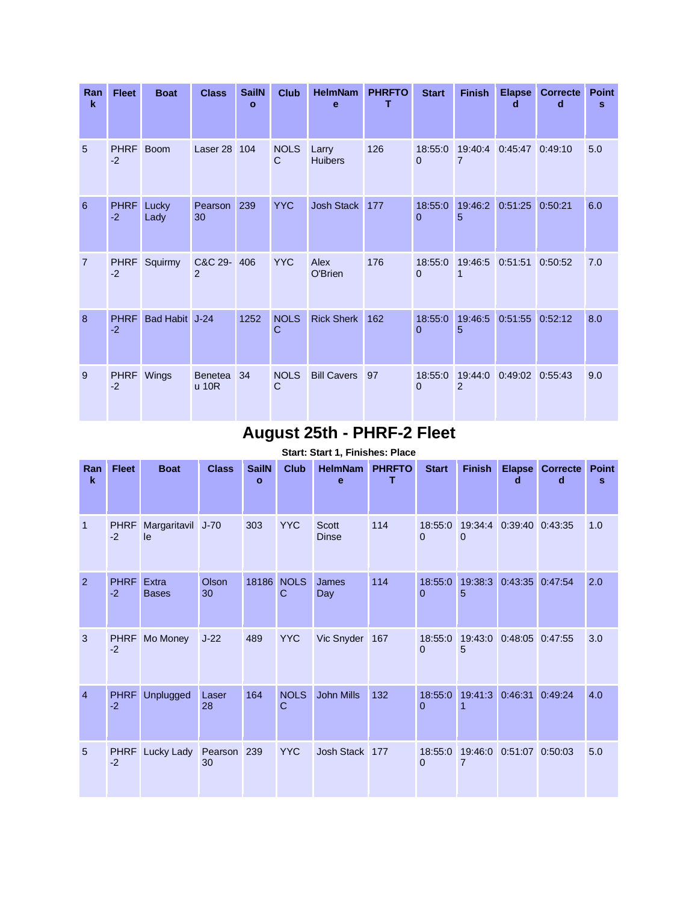| Ran<br>$\mathbf k$ | <b>Fleet</b>        | <b>Boat</b>    | <b>Class</b>            | <b>SailN</b><br>o | <b>Club</b>                | <b>HelmNam</b><br>е     | <b>PHRFTO</b><br>т | <b>Start</b>           | <b>Finish</b> | <b>Elapse</b><br>d | <b>Correcte</b><br>d | <b>Point</b><br>s |
|--------------------|---------------------|----------------|-------------------------|-------------------|----------------------------|-------------------------|--------------------|------------------------|---------------|--------------------|----------------------|-------------------|
| 5                  | <b>PHRF</b><br>$-2$ | <b>Boom</b>    | Laser 28                | 104               | <b>NOLS</b><br>C           | Larry<br><b>Huibers</b> | 126                | 18:55:0<br>$\Omega$    | 19:40:4<br>7  | 0:45:47            | 0:49:10              | 5.0               |
| 6                  | <b>PHRF</b><br>$-2$ | Lucky<br>Lady  | Pearson<br>30           | 239               | <b>YYC</b>                 | <b>Josh Stack</b>       | 177                | 18:55:0<br>0           | 19:46:2<br>5  | 0:51:25            | 0:50:21              | 6.0               |
| $\overline{7}$     | <b>PHRF</b><br>$-2$ | Squirmy        | C&C 29-<br>2            | 406               | <b>YYC</b>                 | Alex<br>O'Brien         | 176                | 18:55:0<br>$\Omega$    | 19:46:5       | 0:51:51            | 0:50:52              | 7.0               |
| 8                  | <b>PHRF</b><br>$-2$ | Bad Habit J-24 |                         | 1252              | <b>NOLS</b><br>$\mathbf C$ | <b>Rick Sherk</b>       | 162                | 18:55:0<br>$\Omega$    | 19:46:5<br>5  | 0:51:55            | 0:52:12              | 8.0               |
| 9                  | <b>PHRF</b><br>$-2$ | Wings          | <b>Benetea</b><br>u 10R | 34                | <b>NOLS</b><br>C           | <b>Bill Cavers</b>      | 97                 | 18:55:0<br>$\mathbf 0$ | 19:44:0<br>2  | 0:49:02 0:55:43    |                      | 9.0               |

## **August 25th - PHRF-2 Fleet**

| Ran<br>k       | <b>Fleet</b>        | <b>Boat</b>           | <b>Class</b>  | <b>SailN</b><br>$\mathbf{o}$ | <b>Club</b>                | <b>HelmNam</b><br>e          | <b>PHRFTO</b><br>т | <b>Start</b>              | <b>Finish</b>             | <b>Elapse</b><br>d  | <b>Correcte</b><br>d | <b>Point</b><br>s |
|----------------|---------------------|-----------------------|---------------|------------------------------|----------------------------|------------------------------|--------------------|---------------------------|---------------------------|---------------------|----------------------|-------------------|
| $\overline{1}$ | <b>PHRF</b><br>$-2$ | Margaritavil<br>le    | $J-70$        | 303                          | <b>YYC</b>                 | <b>Scott</b><br><b>Dinse</b> | 114                | 18:55:0<br>$\Omega$       | 19:34:4<br>$\Omega$       | 0:39:40 0:43:35     |                      | 1.0               |
| $\overline{2}$ | <b>PHRF</b><br>$-2$ | Extra<br><b>Bases</b> | Olson<br>30   | 18186                        | <b>NOLS</b><br>C           | James<br>Day                 | 114                | 18:55:0<br>$\overline{0}$ | 19:38:3<br>5              | 0:43:35             | 0:47:54              | 2.0               |
| 3              | <b>PHRF</b><br>$-2$ | Mo Money              | $J-22$        | 489                          | <b>YYC</b>                 | Vic Snyder                   | 167                | 18:55:0<br>$\Omega$       | 19:43:0<br>5              | $0:48:05$ $0:47:55$ |                      | 3.0               |
| $\overline{4}$ | <b>PHRF</b><br>$-2$ | <b>Unplugged</b>      | Laser<br>28   | 164                          | <b>NOLS</b><br>$\mathbf C$ | <b>John Mills</b>            | 132                | 18:55:0<br>$\overline{0}$ | 19:41:3                   | 0:46:31             | 0:49:24              | 4.0               |
| 5              | <b>PHRF</b><br>$-2$ | Lucky Lady            | Pearson<br>30 | 239                          | <b>YYC</b>                 | Josh Stack                   | 177                | 18:55:0<br>$\overline{0}$ | 19:46:0<br>$\overline{7}$ | 0:51:07 0:50:03     |                      | 5.0               |